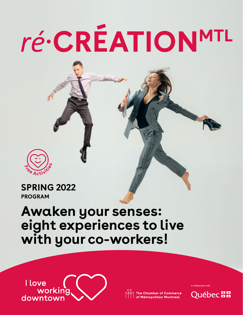# *ré*·**CRÉATIONMTL**



## **SPRING 2022 PROGRAM**

# **Awaken your senses: eight experiences to live with your co-workers!**



In collaboration with:

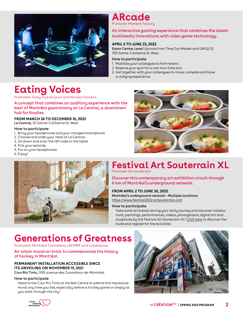

**ARcade**

Promoter: Moment Factory

#### [An interactive gaming experience that combines the latest](https://www.ccmm.ca/en/i-love-working-downtown/re-creationmtl-program/project-arcade/)  multimedia innovations with video game technology.

#### **APRIL 5 TO JUNE 23, 2022**

Eaton Centre, Level 1 (across from Time Out Market and UNIQLO) 705 Sainte-Catherine St. West

#### How to participate

- 1. Mobilize your colleagues to form teams.
- 2. Reserve your spot for a one-hour time slot.
- 3. Get together with your colleagues to move, compete and have a unifying experience.

# **[Eating Voices](https://www.ccmm.ca/en/i-love-working-downtown/re-creationmtl-program/project-eating-voices/)**

Promoters: Daily tous les jours and Nicolas Fonseca

A concept that combines an auditory experience with the best of Montréal gastronomy at Le Central, a downtown hub for foodies.

#### **FROM MARCH 24 TO DECEMBER 16, 2022**

Le Central, 30 Sainte-Catherine St. West

#### How to participate

- 1. Bring your headphones and your charged smartphone.
- 2. Choose and order your meal at Le Central.
- 3. Sit down and scan the QR code on the table.
- 4. Pick your episode.
- 5. Put on your headphones.
- 6. Enjoy!





#### **[Festival Art Souterrain XL](https://www.festival2022.artsouterrain.com/en/voies-voix-resilientes-art-souterrain-festival-2022/)** Promoter: Art Souterrain

Discover this contemporary art exhibition circuit through 6 km of Montréal's underground network.

#### **FROM APRIL 2 TO JUNE 30, 2022**

Montréal's underground network – Multiple locations <https://www.festival2022.artsouterrain.com>

#### How to participate

Take some art breaks during your daily journey and discover installations, paintings, performances, videos, photographs, digital art and sculptures by the Festival Art Souterrain XL! [Click here](https://www.festival2022.artsouterrain.com/en/voies-voix-resilientes-art-souterrain-festival-2022/) to discover the route and register for the activities.

## **[Generations of Greatness](https://www.ccmm.ca/en/i-love-working-downtown/programmation-re-creationmtl/project-generations-of-greatness/)**

Promoters: Montréal Canadiens, LNDMRK and Lumenpulse

#### An urban mural on brick to commemorate the history of hockey in Montréal.

#### **PERMANENT INSTALLATION ACCESSIBLE SINCE ITS UNVEILING ON NOVEMBER 19, 2021**

Cour Rio Tinto, 1190, avenue des Canadiens-de-Montréal

#### How to participate

Head to the Cour Rio Tinto at the Bell Centre to admire this impressive mural any time you like, especially before a hockey game or simply as you walk through the city!



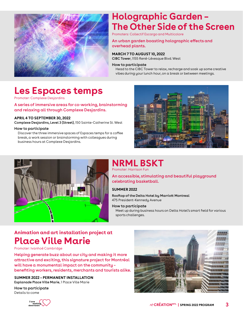

## **Holographic Garden – [The Other Side of the Screen](https://www.ccmm.ca/en/i-love-working-downtown/re-creationmtl-program/project-holographic-garden/)**

Promoters: Collectif Escargo and Multicolore

#### An urban garden boasting holographic effects and overhead plants.

**MARCH 7 TO AUGUST 10, 2022** CIBC Tower, 1155 René-Lévesque Blvd. West

#### How to participate

Head to the CIBC Tower to relax, recharge and soak up some creative vibes during your lunch hour, on a break or between meetings.

## **[Les Espaces temps](https://www.ccmm.ca/en/i-love-working-downtown/re-creationmtl-program/project-espaces-temps/)**

Promoter: Complexe Desjardins

A series of immersive areas for co-working, brainstorming and relaxing all through Complexe Desjardins.

#### **APRIL 4 TO SEPTEMBER 30, 2022**

Complexe Desjardins, Level 3 (Street), 150 Sainte-Catherine St. West

#### How to participate

Discover the three immersive spaces of Espaces temps for a coffee break, a work session or brainstorming with colleagues during business hours at Complexe Desjardins.





### **NRML BSKT** Promoter: Harrison Fun

An accessible, stimulating and beautiful playground celebrating basketball.

#### **SUMMER 2022**

Rooftop of the Delta Hotel by Marriott Montreal 475 President-Kennedy Avenue

#### How to participate

Meet up during business hours on Delta Hotel's smart field for various sports challenges.

## **Animation and art installation project at Place Ville Marie**

Promoter: Ivanhoé Cambridge

Helping generate buzz about our city and making it more attractive and exciting, this signature project for Montréal will have a monumental impact on the community – benefiting workers, residents, merchants and tourists alike.

**SUMMER 2022 – PERMANENT INSTALLATION** Esplanade Place Ville Marie, 1 Place Ville Marie

How to participate Details to come